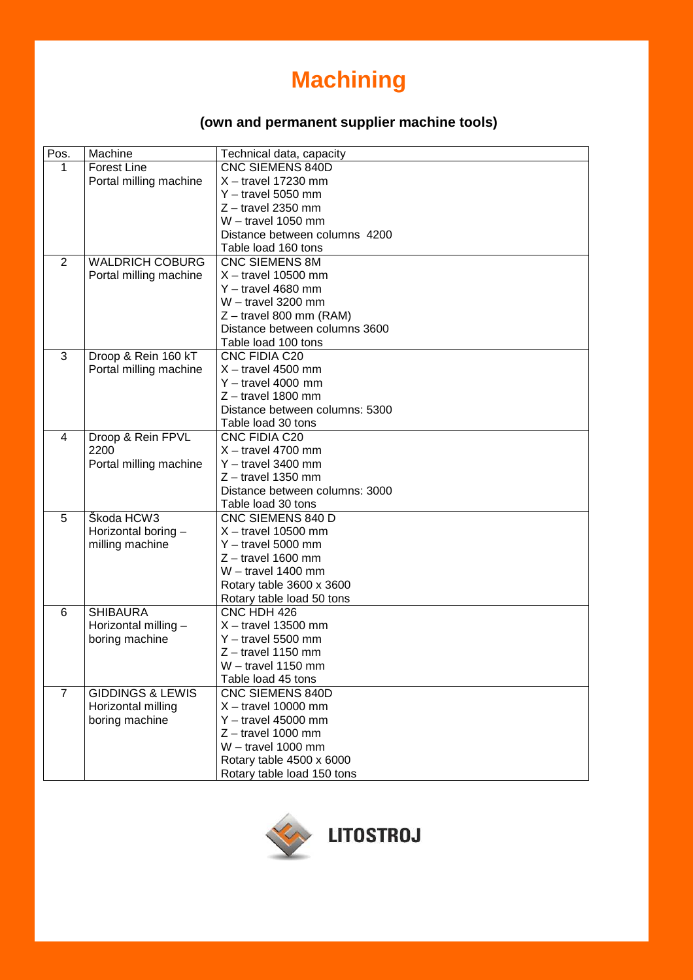## **Machining**

## **(own and permanent supplier machine tools) (own and permanent supplier machine tools)**

| Pos.           | Machine                     | Technical data, capacity       |
|----------------|-----------------------------|--------------------------------|
| 1              | <b>Forest Line</b>          | <b>CNC SIEMENS 840D</b>        |
|                | Portal milling machine      | $X -$ travel 17230 mm          |
|                |                             | $Y -$ travel 5050 mm           |
|                |                             | $Z$ – travel 2350 mm           |
|                |                             | $W -$ travel 1050 mm           |
|                |                             | Distance between columns 4200  |
|                |                             | Table load 160 tons            |
| $\overline{2}$ | <b>WALDRICH COBURG</b>      | <b>CNC SIEMENS 8M</b>          |
|                | Portal milling machine      | $X -$ travel 10500 mm          |
|                |                             | $Y -$ travel 4680 mm           |
|                |                             | $W -$ travel 3200 mm           |
|                |                             | $Z$ – travel 800 mm (RAM)      |
|                |                             | Distance between columns 3600  |
|                |                             | Table load 100 tons            |
| 3              | Droop & Rein 160 kT         | CNC FIDIA C20                  |
|                | Portal milling machine      | $X -$ travel 4500 mm           |
|                |                             | $Y -$ travel 4000 mm           |
|                |                             | $Z$ – travel 1800 mm           |
|                |                             | Distance between columns: 5300 |
|                |                             | Table load 30 tons             |
| 4              | Droop & Rein FPVL           | <b>CNC FIDIA C20</b>           |
|                | 2200                        | $X -$ travel 4700 mm           |
|                | Portal milling machine      | $Y -$ travel 3400 mm           |
|                |                             | $Z$ – travel 1350 mm           |
|                |                             | Distance between columns: 3000 |
|                |                             | Table load 30 tons             |
| 5              | Škoda HCW3                  | CNC SIEMENS 840 D              |
|                | Horizontal boring -         | $X -$ travel 10500 mm          |
|                | milling machine             | $Y -$ travel 5000 mm           |
|                |                             | $Z$ – travel 1600 mm           |
|                |                             | $W -$ travel 1400 mm           |
|                |                             | Rotary table 3600 x 3600       |
|                |                             | Rotary table load 50 tons      |
| 6              | <b>SHIBAURA</b>             | CNC HDH 426                    |
|                | Horizontal milling -        | $X -$ travel 13500 mm          |
|                | boring machine              | $Y -$ travel 5500 mm           |
|                |                             | $Z$ – travel 1150 mm           |
|                |                             | $W -$ travel 1150 mm           |
|                |                             | Table load 45 tons             |
| $\overline{7}$ | <b>GIDDINGS &amp; LEWIS</b> | <b>CNC SIEMENS 840D</b>        |
|                | Horizontal milling          | $X -$ travel 10000 mm          |
|                | boring machine              | $Y -$ travel 45000 mm          |
|                |                             | $Z$ – travel 1000 mm           |
|                |                             | $W -$ travel 1000 mm           |
|                |                             | Rotary table 4500 x 6000       |
|                |                             | Rotary table load 150 tons     |

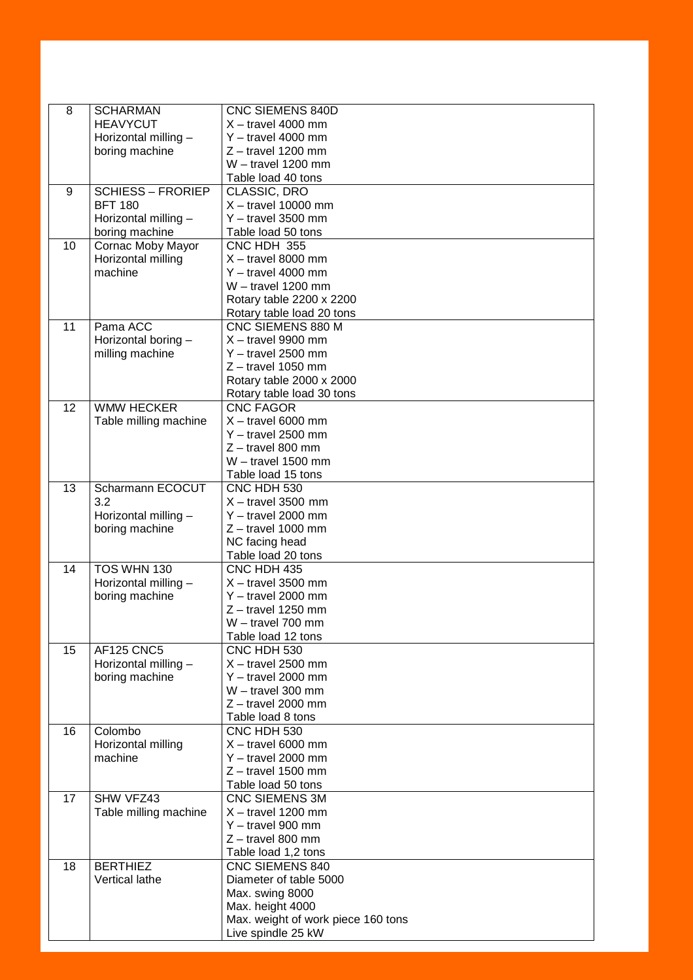| 8  | <b>SCHARMAN</b>                        | <b>CNC SIEMENS 840D</b>                      |
|----|----------------------------------------|----------------------------------------------|
|    | <b>HEAVYCUT</b>                        | $X -$ travel 4000 mm                         |
|    | Horizontal milling -                   | $Y -$ travel 4000 mm                         |
|    | boring machine                         | $Z -$ travel 1200 mm                         |
|    |                                        | $W -$ travel 1200 mm                         |
|    |                                        | Table load 40 tons                           |
| 9  | <b>SCHIESS - FRORIEP</b>               | CLASSIC, DRO                                 |
|    | <b>BFT 180</b>                         | $X -$ travel 10000 mm                        |
|    | Horizontal milling -                   | $Y -$ travel 3500 mm                         |
|    | boring machine                         | Table load 50 tons                           |
| 10 | Cornac Moby Mayor                      | CNC HDH 355                                  |
|    | Horizontal milling                     | $X -$ travel 8000 mm                         |
|    | machine                                | $Y -$ travel 4000 mm                         |
|    |                                        | $W -$ travel 1200 mm                         |
|    |                                        | Rotary table 2200 x 2200                     |
|    |                                        | Rotary table load 20 tons                    |
| 11 | Pama ACC                               | CNC SIEMENS 880 M                            |
|    | Horizontal boring -                    | $X -$ travel 9900 mm                         |
|    | milling machine                        | $Y -$ travel 2500 mm                         |
|    |                                        | $Z$ – travel 1050 mm                         |
|    |                                        | Rotary table 2000 x 2000                     |
|    |                                        | Rotary table load 30 tons                    |
| 12 | <b>WMW HECKER</b>                      | <b>CNC FAGOR</b>                             |
|    | Table milling machine                  | $X -$ travel 6000 mm                         |
|    |                                        | $Y -$ travel 2500 mm                         |
|    |                                        | $Z$ – travel 800 mm                          |
|    |                                        | $W -$ travel 1500 mm                         |
|    |                                        | Table load 15 tons                           |
| 13 | Scharmann ECOCUT                       | CNC HDH 530                                  |
|    | 3.2                                    | $X -$ travel 3500 mm<br>$Y -$ travel 2000 mm |
|    | Horizontal milling -<br>boring machine | $Z -$ travel 1000 mm                         |
|    |                                        | NC facing head                               |
|    |                                        | Table load 20 tons                           |
| 14 | TOS WHN 130                            | CNC HDH 435                                  |
|    | Horizontal milling -                   | $X -$ travel 3500 mm                         |
|    | boring machine                         | $Y -$ travel 2000 mm                         |
|    |                                        | $Z$ – travel 1250 mm                         |
|    |                                        | W - travel 700 mm                            |
|    |                                        | Table load 12 tons                           |
| 15 | <b>AF125 CNC5</b>                      | CNC HDH 530                                  |
|    | Horizontal milling -                   | $X -$ travel 2500 mm                         |
|    | boring machine                         | $Y -$ travel 2000 mm                         |
|    |                                        | $W -$ travel 300 mm                          |
|    |                                        | $Z$ – travel 2000 mm                         |
|    |                                        | Table load 8 tons                            |
| 16 | Colombo                                | CNC HDH 530                                  |
|    | Horizontal milling                     | $X -$ travel 6000 mm                         |
|    | machine                                | $Y -$ travel 2000 mm                         |
|    |                                        | $Z$ – travel 1500 mm                         |
|    |                                        | Table load 50 tons                           |
| 17 | SHW VFZ43                              | <b>CNC SIEMENS 3M</b>                        |
|    | Table milling machine                  | $X -$ travel 1200 mm<br>$Y -$ travel 900 mm  |
|    |                                        | $Z$ – travel 800 mm                          |
|    |                                        | Table load 1,2 tons                          |
| 18 | <b>BERTHIEZ</b>                        | <b>CNC SIEMENS 840</b>                       |
|    | Vertical lathe                         | Diameter of table 5000                       |
|    |                                        | Max. swing 8000                              |
|    |                                        | Max. height 4000                             |
|    |                                        | Max. weight of work piece 160 tons           |
|    |                                        | Live spindle 25 kW                           |